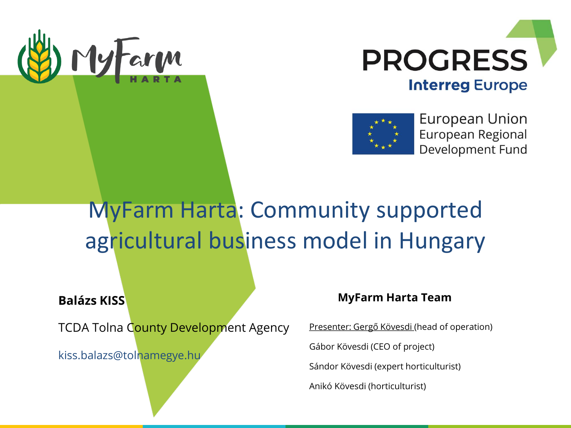





European Union European Regional Development Fund

## MyFarm Harta: Community supported agricultural business model in Hungary

#### **Balázs KISS**

TCDA Tolna County Development Agency

kiss.balazs@tolnamegye.hu

#### **MyFarm Harta Team**

Presenter: Gergő Kövesdi (head of operation)

Gábor Kövesdi (CEO of project)

Sándor Kövesdi (expert horticulturist)

Anikó Kövesdi (horticulturist)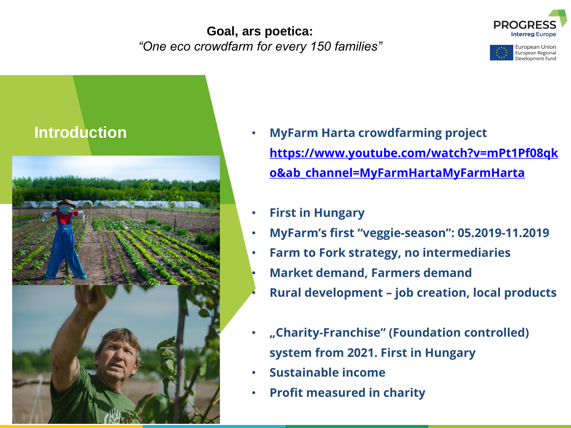#### **Goal, ars poetica:**  *"One eco crowdfarm for every 150 families"*







- **Introduction MyFarm Harta crowdfarming project [https://www.youtube.com/watch?v=mPt1Pf08qk](https://www.youtube.com/watch?v=mPt1Pf08qko&ab_channel=MyFarmHartaMyFarmHarta) o&ab\_channel=MyFarmHartaMyFarmHarta**
	- **First in Hungary**
	- **MyFarm's first "veggie-season": 05.2019-11.2019**
	- **Farm to Fork strategy, no intermediaries** • **Market demand, Farmers demand** • **Rural development – job creation, local products**
	- **"Charity-Franchise" (Foundation controlled) system from 2021. First in Hungary**
	- **Sustainable income**
	- **Profit measured in charity**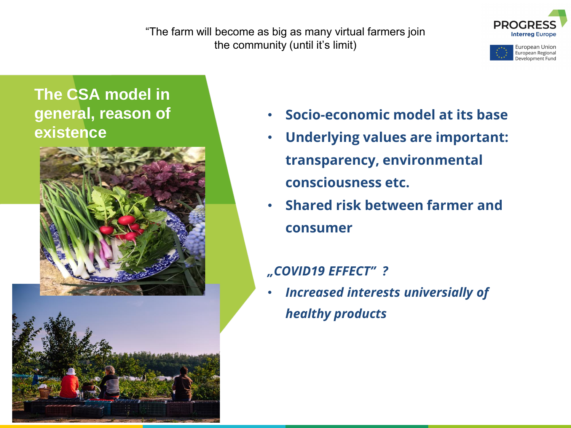"The farm will become as big as many virtual farmers join the community (until it's limit)



European Union European Regional Development Fund

## **The CSA model in general, reason of existence**



- **Socio-economic model at its base**
- **Underlying values are important: transparency, environmental consciousness etc.**
- **Shared risk between farmer and consumer**

#### *"COVID19 EFFECT" ?*

• *Increased interests universially of healthy products*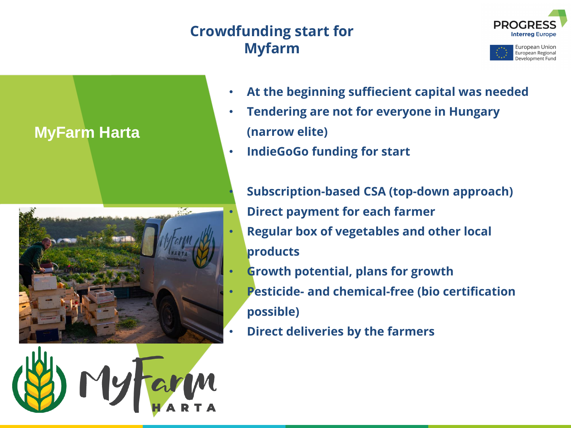## **Crowdfunding start for Myfarm**









- **At the beginning suffiecient capital was needed**
- **Tendering are not for everyone in Hungary (narrow elite)**
- **IndieGoGo funding for start**
	- **Subscription-based CSA (top-down approach)**
	- **Direct payment for each farmer**
	- **Regular box of vegetables and other local products**
	- **Growth potential, plans for growth**
	- **Pesticide- and chemical-free (bio certification possible)**
	- **Direct deliveries by the farmers**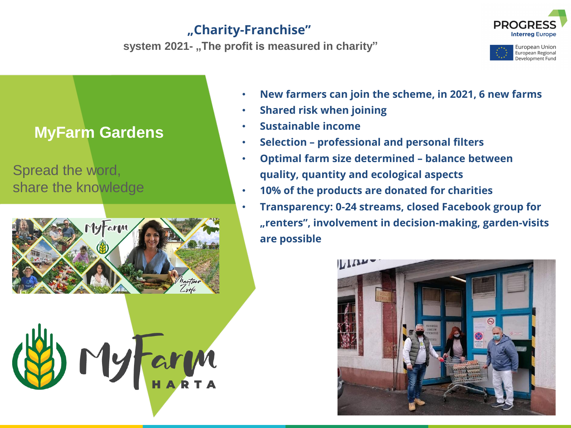### **"Charity-Franchise"**

**system 2021- "The profit is measured in charity"**





## **MyFarm Gardens**

### Spread the word, share the knowledge





- **New farmers can join the scheme, in 2021, 6 new farms**
- **Shared risk when joining**
- **Sustainable income**
- **Selection – professional and personal filters**
- **Optimal farm size determined – balance between quality, quantity and ecological aspects**
- **10% of the products are donated for charities**
- **Transparency: 0-24 streams, closed Facebook group for "renters", involvement in decision-making, garden-visits are possible**

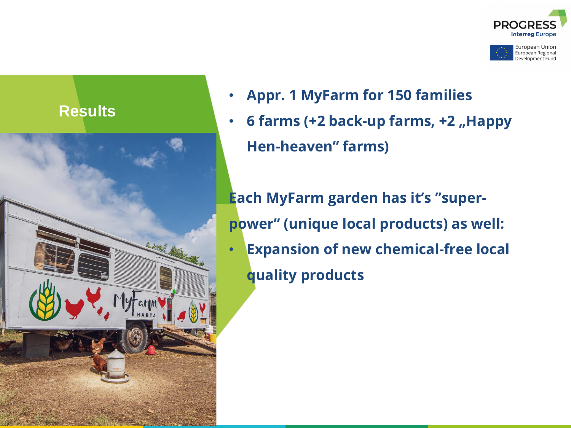





- **Appr. 1 MyFarm for 150 families**
- **6 farms (+2 back-up farms, +2 "Happy Hen-heaven" farms)**

**Each MyFarm garden has it's "superpower" (unique local products) as well:** • **Expansion of new chemical-free local quality products**